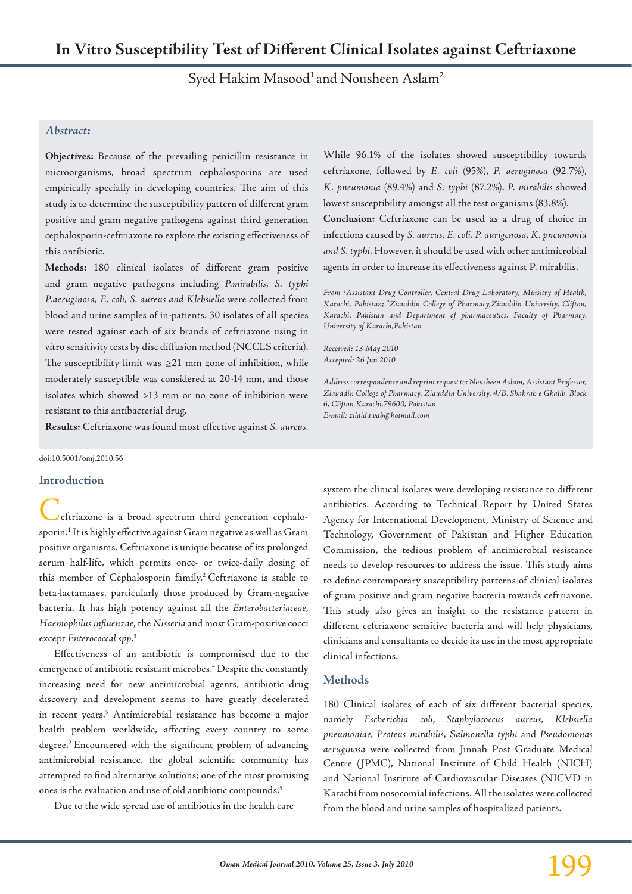Syed Hakim Masood<sup>1</sup> and Nousheen Aslam<sup>2</sup>

## *Abstract:*

**Objectives:** Because of the prevailing penicillin resistance in microorganisms, broad spectrum cephalosporins are used empirically specially in developing countries. The aim of this study is to determine the susceptibility pattern of different gram positive and gram negative pathogens against third generation cephalosporin-ceftriaxone to explore the existing effectiveness of this antibiotic.

**Methods:** 180 clinical isolates of different gram positive and gram negative pathogens including *P.mirabilis, S. typhi P.aeruginosa, E. coli, S. aureus and Klebsiella* were collected from blood and urine samples of in-patients. 30 isolates of all species were tested against each of six brands of ceftriaxone using in vitro sensitivity tests by disc diffusion method (NCCLS criteria). The susceptibility limit was ≥21 mm zone of inhibition, while moderately susceptible was considered at 20-14 mm, and those isolates which showed >13 mm or no zone of inhibition were resistant to this antibacterial drug.

**Results:** Ceftriaxone was found most effective against *S. aureus.* 

#### doi:10.5001/omj.2010.56

#### **Introduction**

eftriaxone is a broad spectrum third generation cephalosporin.1 It is highly effective against Gram negative as well as Gram positive organi**s**ms. Ceftriaxone is unique because of its prolonged serum half-life, which permits once- or twice-daily dosing of this member of Cephalosporin family.2 Ceftriaxone is stable to beta-lactamases, particularly those produced by Gram-negative bacteria. It has high potency against all the *Enterobacteriaceae*, *Haemophilus influenzae*, the *Nisseria* and most Gram-positive cocci except *Enterococcal spp*. 3

Effectiveness of an antibiotic is compromised due to the emergence of antibiotic resistant microbes.4 Despite the constantly increasing need for new antimicrobial agents, antibiotic drug discovery and development seems to have greatly decelerated in recent years.5 Antimicrobial resistance has become a major health problem worldwide, affecting every country to some degree.2 Encountered with the significant problem of advancing antimicrobial resistance, the global scientific community has attempted to find alternative solutions; one of the most promising ones is the evaluation and use of old antibiotic compounds.5

Due to the wide spread use of antibiotics in the health care

While 96.1% of the isolates showed susceptibility towards ceftriaxone, followed by *E. coli* (95%), *P. aeruginosa* (92.7%), *K. pneumonia* (89.4%) and *S. typhi* (87.2%). *P. mirabilis* showed lowest susceptibility amongst all the test organisms (83.8%). **Conclusion:** Ceftriaxone can be used as a drug of choice in infections caused by *S. aureus*, *E. coli, P. aurigenosa, K. pneumonia and S. typhi*. However, it should be used with other antimicrobial agents in order to increase its effectiveness against P. mirabilis.

*From 1 Assistant Drug Controller, Central Drug Laboratory, Minsitry of Health, Karachi, Pakistan; 2 Ziauddin College of Pharmacy,Ziauddin University, Clifton, Karachi, Pakistan and Department of pharmaceutics, Faculty of Pharmacy, University of Karachi,Pakistan*

*Received: 13 May 2010 Accepted: 26 Jun 2010*

*Address correspondence and reprint request to: Nousheen Aslam, Assistant Professor, Ziauddin College of Pharmacy, Ziauddin University, 4/B, Shahrah e Ghalib, Block 6, Clifton Karachi,79600, Pakistan. E-mail: zilaidawab@hotmail.com*

system the clinical isolates were developing resistance to different antibiotics. According to Technical Report by United States Agency for International Development, Ministry of Science and Technology, Government of Pakistan and Higher Education Commission, the tedious problem of antimicrobial resistance needs to develop resources to address the issue. This study aims to define contemporary susceptibility patterns of clinical isolates of gram positive and gram negative bacteria towards ceftriaxone. This study also gives an insight to the resistance pattern in different ceftriaxone sensitive bacteria and will help physicians, clinicians and consultants to decide its use in the most appropriate clinical infections.

#### **Methods**

180 Clinical isolates of each of six different bacterial species, namely *Escherichia coli*, *Staphylococcus aureus, Klebsiella pneumoniae, Proteus mirabilis,* S*almonella typhi* and *Pseudomonas aeruginosa* were collected from Jinnah Post Graduate Medical Centre (JPMC), National Institute of Child Health (NICH) and National Institute of Cardiovascular Diseases (NICVD in Karachi from nosocomial infections. All the isolates were collected from the blood and urine samples of hospitalized patients.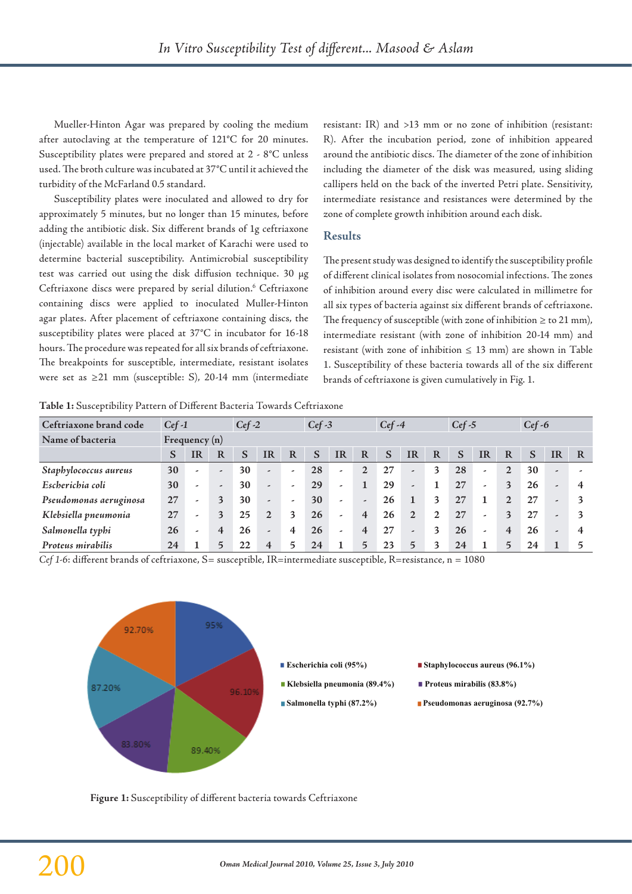Mueller-Hinton Agar was prepared by cooling the medium after autoclaving at the temperature of 121°C for 20 minutes. Susceptibility plates were prepared and stored at 2 - 8°C unless used. The broth culture was incubated at 37°C until it achieved the turbidity of the McFarland 0.5 standard.

Susceptibility plates were inoculated and allowed to dry for approximately 5 minutes, but no longer than 15 minutes, before adding the antibiotic disk. Six different brands of 1g ceftriaxone (injectable) available in the local market of Karachi were used to determine bacterial susceptibility. Antimicrobial susceptibility test was carried out using the disk diffusion technique. 30 µg Ceftriaxone discs were prepared by serial dilution.<sup>6</sup> Ceftriaxone containing discs were applied to inoculated Muller-Hinton agar plates. After placement of ceftriaxone containing discs, the susceptibility plates were placed at 37°C in incubator for 16-18 hours. The procedure was repeated for all six brands of ceftriaxone. The breakpoints for susceptible, intermediate, resistant isolates were set as ≥21 mm (susceptible: S), 20-14 mm (intermediate

resistant: IR) and >13 mm or no zone of inhibition (resistant: R). After the incubation period, zone of inhibition appeared around the antibiotic discs. The diameter of the zone of inhibition including the diameter of the disk was measured, using sliding callipers held on the back of the inverted Petri plate. Sensitivity, intermediate resistance and resistances were determined by the zone of complete growth inhibition around each disk.

## **Results**

The present study was designed to identify the susceptibility profile of different clinical isolates from nosocomial infections. The zones of inhibition around every disc were calculated in millimetre for all six types of bacteria against six different brands of ceftriaxone. The frequency of susceptible (with zone of inhibition  $\geq$  to 21 mm), intermediate resistant (with zone of inhibition 20-14 mm) and resistant (with zone of inhibition  $\leq 13$  mm) are shown in Table 1. Susceptibility of these bacteria towards all of the six different brands of ceftriaxone is given cumulatively in Fig. 1.

**Table 1:** Susceptibility Pattern of Different Bacteria Towards Ceftriaxone

| Ceftriaxone brand code | $Cef-1$         |                          |                          | $Cef-2$ |                          |   | $Cef-3$ |                          |                | $Cef-4$ |                          |   | $Cef-5$ |           |                         | $Cef-6$ |                          |   |
|------------------------|-----------------|--------------------------|--------------------------|---------|--------------------------|---|---------|--------------------------|----------------|---------|--------------------------|---|---------|-----------|-------------------------|---------|--------------------------|---|
| Name of bacteria       | Frequency $(n)$ |                          |                          |         |                          |   |         |                          |                |         |                          |   |         |           |                         |         |                          |   |
|                        | S               | <b>IR</b>                | $\bf{R}$                 | S       | IR                       | R | S       | <b>IR</b>                | R              | S       | <b>IR</b>                | R | S       | <b>IR</b> | R                       | S       | <b>IR</b>                | R |
| Staphylococcus aureus  | 30              | $\overline{\phantom{a}}$ | $\overline{\phantom{a}}$ | 30      | $\overline{\phantom{a}}$ | ٠ | 28      | ٠                        | 2              | 27      | $\overline{\phantom{a}}$ | 3 | 28      | ٠         | $\overline{2}$          | 30      | $\overline{\phantom{a}}$ |   |
| Escherichia coli       | 30              | $\overline{\phantom{a}}$ | $\tilde{\phantom{a}}$    | 30      | $\overline{\phantom{a}}$ | ٠ | 29      | -                        |                | 29      | $\tilde{\phantom{a}}$    |   | 27      | ٠         | 3                       | 26      | $\overline{\phantom{a}}$ |   |
| Pseudomonas aeruginosa | 27              | -                        | 3                        | 30      | $\overline{\phantom{a}}$ | ٠ | 30      | $\overline{\phantom{a}}$ | -              | 26      |                          | 3 | 27      |           | 2                       | 27      | -                        |   |
| Klebsiella pneumonia   | 27              | $\overline{\phantom{a}}$ | 3                        | 25      | $\overline{2}$           | 3 | 26      | $\overline{\phantom{a}}$ | $\overline{4}$ | 26      | $\overline{2}$           | 2 | 27      | ٠         | $\mathbf{3}$            | 27      | $\overline{\phantom{a}}$ |   |
| Salmonella typhi       | 26              | $\overline{\phantom{a}}$ | $\overline{4}$           | 26      | $\overline{\phantom{a}}$ | 4 | 26      | $\overline{\phantom{a}}$ | $\overline{4}$ | 27      | $\overline{\phantom{a}}$ | 3 | 26      | ٠         | $\overline{\mathbf{4}}$ | 26      | $\overline{\phantom{a}}$ |   |
| Proteus mirabilis      | 24              |                          | 5                        |         |                          |   | 24      |                          |                | 23      | $\overline{5}$           |   | 24      |           |                         | 24      |                          |   |

*Cef 1-6*: different brands of ceftriaxone, S= susceptible, IR=intermediate susceptible, R=resistance, n = 1080



- 
- 
- 
- **Escherichia coli (95%)** Staphylococcus aureus (96.1%)
- **Klebsiella pneumonia (89.4%) Proteus mirabilis (83.8%)**
- **Salmonella typhi (87.2%) Pseudomonas aeruginosa (92.7%)**

**Figure 1:** Susceptibility of different bacteria towards Ceftriaxone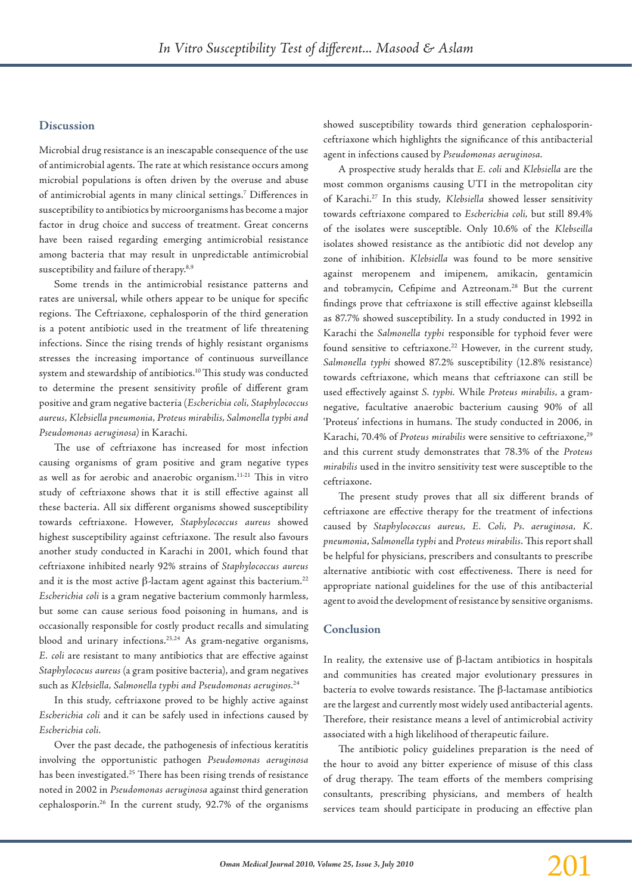## **Discussion**

Microbial drug resistance is an inescapable consequence of the use of antimicrobial agents. The rate at which resistance occurs among microbial populations is often driven by the overuse and abuse of antimicrobial agents in many clinical settings.7 Differences in susceptibility to antibiotics by microorganisms has become a major factor in drug choice and success of treatment. Great concerns have been raised regarding emerging antimicrobial resistance among bacteria that may result in unpredictable antimicrobial susceptibility and failure of therapy.<sup>8,9</sup>

Some trends in the antimicrobial resistance patterns and rates are universal, while others appear to be unique for specific regions. The Ceftriaxone, cephalosporin of the third generation is a potent antibiotic used in the treatment of life threatening infections. Since the rising trends of highly resistant organisms stresses the increasing importance of continuous surveillance system and stewardship of antibiotics.10 This study was conducted to determine the present sensitivity profile of different gram positive and gram negative bacteria (*Escherichia coli, Staphylococcus aureus, Klebsiella pneumonia, Proteus mirabilis, Salmonella typhi and Pseudomonas aeruginosa)* in Karachi.

The use of ceftriaxone has increased for most infection causing organisms of gram positive and gram negative types as well as for aerobic and anaerobic organism.11-21 This in vitro study of ceftriaxone shows that it is still effective against all these bacteria. All six different organisms showed susceptibility towards ceftriaxone. However, *Staphylococcus aureus* showed highest susceptibility against ceftriaxone. The result also favours another study conducted in Karachi in 2001, which found that ceftriaxone inhibited nearly 92% strains of *Staphylococcus aureus*  and it is the most active  $\beta$ -lactam agent against this bacterium.<sup>22</sup> *Escherichia coli* is a gram negative bacterium commonly harmless, but some can cause serious food poisoning in humans, and is occasionally responsible for costly product recalls and simulating blood and urinary infections. 23,24 As gram-negative organisms, *E. coli* are resistant to many antibiotics that are effective against *Staphylococus aureus* (a gram positive bacteria), and gram negatives such as *Klebsiella, Salmonella typhi and Pseudomonas aeruginos.* 24

In this study, ceftriaxone proved to be highly active against *Escherichia coli* and it can be safely used in infections caused by *Escherichia coli.*

Over the past decade, the pathogenesis of infectious keratitis involving the opportunistic pathogen *Pseudomonas aeruginosa* has been investigated. <sup>25</sup> There has been rising trends of resistance noted in 2002 in *Pseudomonas aeruginosa* against third generation cephalosporin. <sup>26</sup> In the current study, 92.7% of the organisms

showed susceptibility towards third generation cephalosporinceftriaxone which highlights the significance of this antibacterial agent in infections caused by *Pseudomonas aeruginosa.*

A prospective study heralds that *E. coli* and *Klebsiella* are the most common organisms causing UTI in the metropolitan city of Karachi. <sup>27</sup> In this study, *Klebsiella* showed lesser sensitivity towards ceftriaxone compared to *Escherichia coli,* but still 89.4% of the isolates were susceptible. Only 10.6% of the *Klebseilla* isolates showed resistance as the antibiotic did not develop any zone of inhibition. *Klebsiella* was found to be more sensitive against meropenem and imipenem, amikacin, gentamicin and tobramycin, Cefipime and Aztreonam. <sup>28</sup> But the current findings prove that ceftriaxone is still effective against klebseilla as 87.7% showed susceptibility. In a study conducted in 1992 in Karachi the *Salmonella typhi* responsible for typhoid fever were found sensitive to ceftriaxone. <sup>22</sup> However, in the current study, *Salmonella typhi* showed 87.2% susceptibility (12.8% resistance) towards ceftriaxone, which means that ceftriaxone can still be used effectively against *S. typhi.* While *Proteus mirabilis,* a gramnegative, facultative anaerobic bacterium causing 90% of all 'Proteus' infections in humans. The study conducted in 2006, in Karachi, 70.4% of *Proteus mirabilis* were sensitive to ceftriaxone, 29 and this current study demonstrates that 78.3% of the *Proteus mirabilis* used in the invitro sensitivity test were susceptible to the ceftriaxone.

The present study proves that all six different brands of ceftriaxone are effective therapy for the treatment of infections caused by *Staphylococcus aureus, E. Coli, Ps. aeruginosa, K. pneumonia*, *Salmonella typhi* and *Proteus mirabilis*. This report shall be helpful for physicians, prescribers and consultants to prescribe alternative antibiotic with cost effectiveness. There is need for appropriate national guidelines for the use of this antibacterial agent to avoid the development of resistance by sensitive organisms.

#### **Conclusion**

In reality, the extensive use of β-lactam antibiotics in hospitals and communities has created major evolutionary pressures in bacteria to evolve towards resistance. The β-lactamase antibiotics are the largest and currently most widely used antibacterial agents. Therefore, their resistance means a level of antimicrobial activity associated with a high likelihood of therapeutic failure.

The antibiotic policy guidelines preparation is the need of the hour to avoid any bitter experience of misuse of this class of drug therapy. The team efforts of the members comprising consultants, prescribing physicians, and members of health services team should participate in producing an effective plan